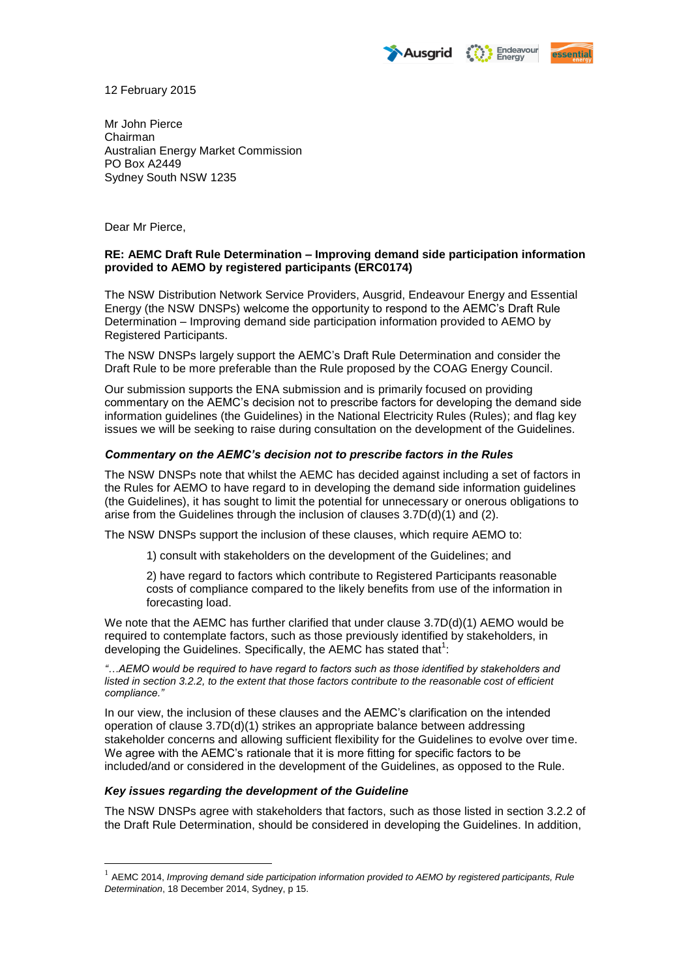Endeavour<br>Energy Ausarid



12 February 2015

Mr John Pierce Chairman Australian Energy Market Commission PO Box A2449 Sydney South NSW 1235

Dear Mr Pierce,

## **RE: AEMC Draft Rule Determination – Improving demand side participation information provided to AEMO by registered participants (ERC0174)**

The NSW Distribution Network Service Providers, Ausgrid, Endeavour Energy and Essential Energy (the NSW DNSPs) welcome the opportunity to respond to the AEMC's Draft Rule Determination – Improving demand side participation information provided to AEMO by Registered Participants.

The NSW DNSPs largely support the AEMC's Draft Rule Determination and consider the Draft Rule to be more preferable than the Rule proposed by the COAG Energy Council.

Our submission supports the ENA submission and is primarily focused on providing commentary on the AEMC's decision not to prescribe factors for developing the demand side information guidelines (the Guidelines) in the National Electricity Rules (Rules); and flag key issues we will be seeking to raise during consultation on the development of the Guidelines.

## *Commentary on the AEMC's decision not to prescribe factors in the Rules*

The NSW DNSPs note that whilst the AEMC has decided against including a set of factors in the Rules for AEMO to have regard to in developing the demand side information guidelines (the Guidelines), it has sought to limit the potential for unnecessary or onerous obligations to arise from the Guidelines through the inclusion of clauses 3.7D(d)(1) and (2).

The NSW DNSPs support the inclusion of these clauses, which require AEMO to:

1) consult with stakeholders on the development of the Guidelines; and

2) have regard to factors which contribute to Registered Participants reasonable costs of compliance compared to the likely benefits from use of the information in forecasting load.

We note that the AEMC has further clarified that under clause  $3.7D(d)(1)$  AEMO would be required to contemplate factors, such as those previously identified by stakeholders, in developing the Guidelines. Specifically, the AEMC has stated that  $1$ :

*"…AEMO would be required to have regard to factors such as those identified by stakeholders and*  listed in section 3.2.2, to the extent that those factors contribute to the reasonable cost of efficient *compliance."* 

In our view, the inclusion of these clauses and the AEMC's clarification on the intended operation of clause 3.7D(d)(1) strikes an appropriate balance between addressing stakeholder concerns and allowing sufficient flexibility for the Guidelines to evolve over time. We agree with the AEMC's rationale that it is more fitting for specific factors to be included/and or considered in the development of the Guidelines, as opposed to the Rule.

## *Key issues regarding the development of the Guideline*

<u>.</u>

The NSW DNSPs agree with stakeholders that factors, such as those listed in section 3.2.2 of the Draft Rule Determination, should be considered in developing the Guidelines. In addition,

<sup>&</sup>lt;sup>1</sup> AEMC 2014, *Improving demand side participation information provided to AEMO by registered participants, Rule Determination*, 18 December 2014, Sydney, p 15.